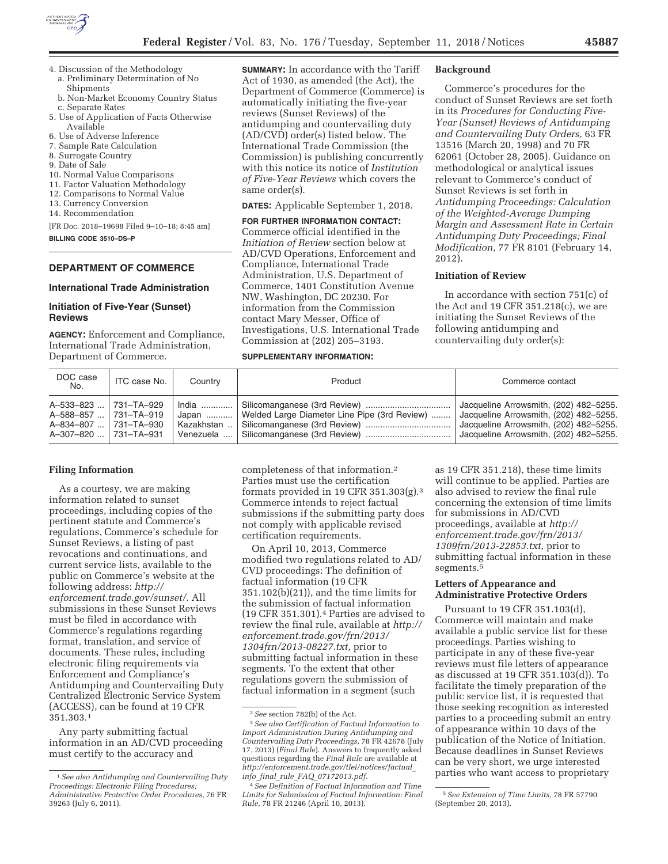

- 4. Discussion of the Methodology a. Preliminary Determination of No
	- Shipments
	- b. Non-Market Economy Country Status c. Separate Rates
- 5. Use of Application of Facts Otherwise Available
- 6. Use of Adverse Inference
- 7. Sample Rate Calculation
- 8. Surrogate Country
- 9. Date of Sale
- 10. Normal Value Comparisons 11. Factor Valuation Methodology
- 12. Comparisons to Normal Value
- 13. Currency Conversion
- 14. Recommendation

[FR Doc. 2018–19698 Filed 9–10–18; 8:45 am] **BILLING CODE 3510–DS–P** 

## **DEPARTMENT OF COMMERCE**

# **International Trade Administration**

## **Initiation of Five-Year (Sunset) Reviews**

**AGENCY:** Enforcement and Compliance, International Trade Administration, Department of Commerce.

**SUMMARY:** In accordance with the Tariff Act of 1930, as amended (the Act), the Department of Commerce (Commerce) is automatically initiating the five-year reviews (Sunset Reviews) of the antidumping and countervailing duty (AD/CVD) order(s) listed below. The International Trade Commission (the Commission) is publishing concurrently with this notice its notice of *Institution of Five-Year Reviews* which covers the same order(s).

**DATES:** Applicable September 1, 2018.

## **FOR FURTHER INFORMATION CONTACT:**  Commerce official identified in the *Initiation of Review* section below at AD/CVD Operations, Enforcement and Compliance, International Trade Administration, U.S. Department of Commerce, 1401 Constitution Avenue NW, Washington, DC 20230. For information from the Commission contact Mary Messer, Office of Investigations, U.S. International Trade Commission at (202) 205–3193.

# **SUPPLEMENTARY INFORMATION:**

#### **Background**

Commerce's procedures for the conduct of Sunset Reviews are set forth in its *Procedures for Conducting Five-Year (Sunset) Reviews of Antidumping and Countervailing Duty Orders,* 63 FR 13516 (March 20, 1998) and 70 FR 62061 (October 28, 2005). Guidance on methodological or analytical issues relevant to Commerce's conduct of Sunset Reviews is set forth in *Antidumping Proceedings: Calculation of the Weighted-Average Dumping Margin and Assessment Rate in Certain Antidumping Duty Proceedings; Final Modification,* 77 FR 8101 (February 14, 2012).

#### **Initiation of Review**

In accordance with section 751(c) of the Act and 19 CFR 351.218(c), we are initiating the Sunset Reviews of the following antidumping and countervailing duty order(s):

| DOC case<br>No.                                                                                  | ITC case No. | Country                                   | Product                                      | Commerce contact                                                                                                                                                     |
|--------------------------------------------------------------------------------------------------|--------------|-------------------------------------------|----------------------------------------------|----------------------------------------------------------------------------------------------------------------------------------------------------------------------|
| A-533-823  731-TA-929<br>A-588-857  731-TA-919<br>A-834-807  731-TA-930<br>A-307-820  731-TA-931 |              | India<br>Japan<br>Kazakhstan<br>Venezuela | Welded Large Diameter Line Pipe (3rd Review) | Jacqueline Arrowsmith, (202) 482-5255.<br>Jacqueline Arrowsmith, (202) 482-5255.<br>Jacqueline Arrowsmith, (202) 482-5255.<br>Jacqueline Arrowsmith, (202) 482-5255. |

## **Filing Information**

As a courtesy, we are making information related to sunset proceedings, including copies of the pertinent statute and Commerce's regulations, Commerce's schedule for Sunset Reviews, a listing of past revocations and continuations, and current service lists, available to the public on Commerce's website at the following address: *http:// enforcement.trade.gov/sunset/.* All submissions in these Sunset Reviews must be filed in accordance with Commerce's regulations regarding format, translation, and service of documents. These rules, including electronic filing requirements via Enforcement and Compliance's Antidumping and Countervailing Duty Centralized Electronic Service System (ACCESS), can be found at 19 CFR 351.303.1

Any party submitting factual information in an AD/CVD proceeding must certify to the accuracy and

completeness of that information.2 Parties must use the certification formats provided in 19 CFR 351.303(g).3 Commerce intends to reject factual submissions if the submitting party does not comply with applicable revised certification requirements.

On April 10, 2013, Commerce modified two regulations related to AD/ CVD proceedings: The definition of factual information (19 CFR 351.102(b)(21)), and the time limits for the submission of factual information (19 CFR 351.301).4 Parties are advised to review the final rule, available at *http:// enforcement.trade.gov/frn/2013/ 1304frn/2013-08227.txt,* prior to submitting factual information in these segments. To the extent that other regulations govern the submission of factual information in a segment (such

as 19 CFR 351.218), these time limits will continue to be applied. Parties are also advised to review the final rule concerning the extension of time limits for submissions in AD/CVD proceedings, available at *http:// enforcement.trade.gov/frn/2013/ 1309frn/2013-22853.txt,* prior to submitting factual information in these segments.<sup>5</sup>

## **Letters of Appearance and Administrative Protective Orders**

Pursuant to 19 CFR 351.103(d), Commerce will maintain and make available a public service list for these proceedings. Parties wishing to participate in any of these five-year reviews must file letters of appearance as discussed at 19 CFR 351.103(d)). To facilitate the timely preparation of the public service list, it is requested that those seeking recognition as interested parties to a proceeding submit an entry of appearance within 10 days of the publication of the Notice of Initiation. Because deadlines in Sunset Reviews can be very short, we urge interested parties who want access to proprietary

<sup>1</sup>*See also Antidumping and Countervailing Duty Proceedings: Electronic Filing Procedures; Administrative Protective Order Procedures,* 76 FR 39263 (July 6, 2011).

<sup>2</sup>*See* section 782(b) of the Act.

<sup>3</sup>*See also Certification of Factual Information to Import Administration During Antidumping and Countervailing Duty Proceedings,* 78 FR 42678 (July 17, 2013) (*Final Rule*). Answers to frequently asked questions regarding the *Final Rule* are available at *http://enforcement.trade.gov/tlei/notices/factual*\_ *info*\_*final*\_*rule*\_*FAQ*\_*07172013.pdf.* 

<sup>4</sup>*See Definition of Factual Information and Time Limits for Submission of Factual Information: Final Rule,* 78 FR 21246 (April 10, 2013).

<sup>5</sup>*See Extension of Time Limits,* 78 FR 57790 (September 20, 2013).